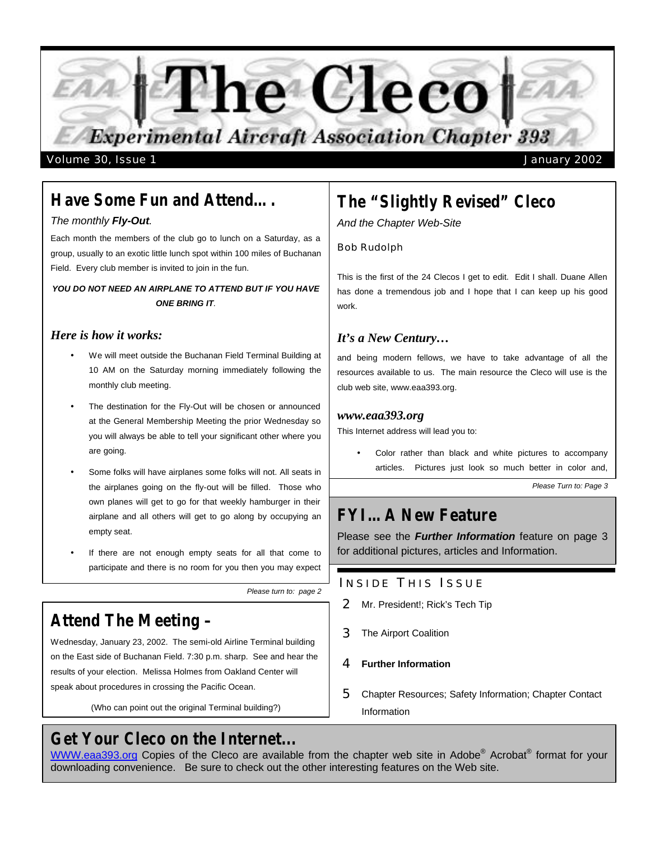

# *Have Some Fun and Attend….*

## *The monthly Fly-Out.*

Each month the members of the club go to lunch on a Saturday, as a group, usually to an exotic little lunch spot within 100 miles of Buchanan Field. Every club member is invited to join in the fun.

## *YOU DO NOT NEED AN AIRPLANE TO ATTEND BUT IF YOU HAVE ONE BRING IT.*

## *Here is how it works:*

- We will meet outside the Buchanan Field Terminal Building at 10 AM on the Saturday morning immediately following the monthly club meeting.
- The destination for the Fly-Out will be chosen or announced at the General Membership Meeting the prior Wednesday so you will always be able to tell your significant other where you are going.
- Some folks will have airplanes some folks will not. All seats in the airplanes going on the fly-out will be filled. Those who own planes will get to go for that weekly hamburger in their airplane and all others will get to go along by occupying an empty seat.
- If there are not enough empty seats for all that come to participate and there is no room for you then you may expect

*Please turn to: page 2*

# *Attend The Meeting –*

Wednesday, January 23, 2002. The semi-old Airline Terminal building on the East side of Buchanan Field. 7:30 p.m. sharp. See and hear the results of your election. Melissa Holmes from Oakland Center will speak about procedures in crossing the Pacific Ocean.

(Who can point out the original Terminal building?)

# *Get Your Cleco on the Internet...*

# *The "Slightly Revised" Cleco*

*And the Chapter Web-Site*

## Bob Rudolph

This is the first of the 24 Clecos I get to edit. Edit I shall. Duane Allen has done a tremendous job and I hope that I can keep up his good work.

# *It's a New Century…*

and being modern fellows, we have to take advantage of all the resources available to us. The main resource the Cleco will use is the club web site, www.eaa393.org.

## *www.eaa393.org*

This Internet address will lead you to:

Color rather than black and white pictures to accompany articles. Pictures just look so much better in color and,

*Please Turn to: Page 3*

# *FYI…A New Feature*

Please see the *Further Information* feature on page 3 for additional pictures, articles and Information.

# INSIDE THIS ISSUE

- 2 Mr. President!; Rick's Tech Tip
- 3 The Airport Coalition
- 4 **Further Information**
- 5 Chapter Resources; Safety Information; Chapter Contact Information

WWW.eaa393.org Copies of the Cleco are available from the chapter web site in Adobe® Acrobat® format for your downloading convenience. Be sure to check out the other interesting features on the Web site.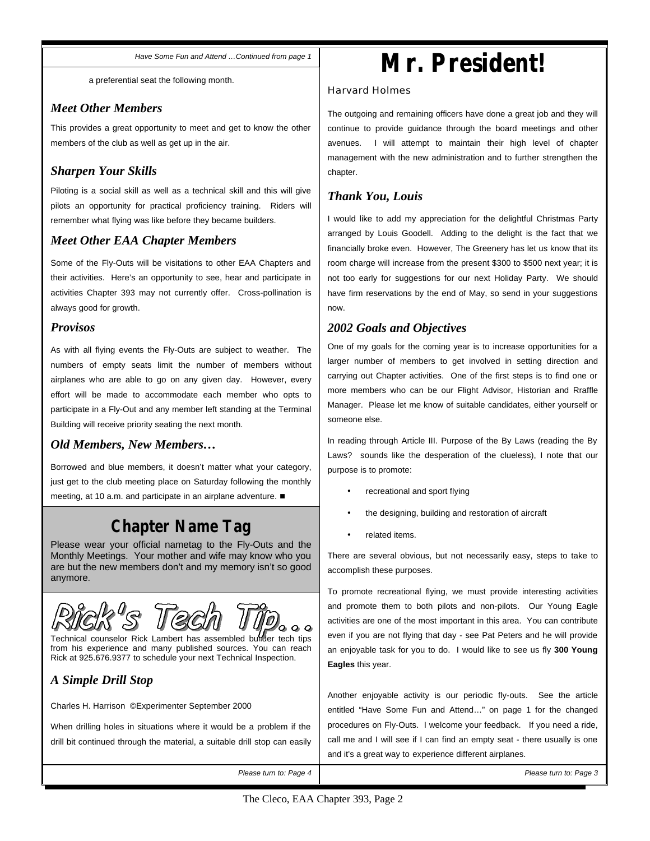*Have Some Fun and Attend …Continued from page 1*

a preferential seat the following month.

# *Meet Other Members*

This provides a great opportunity to meet and get to know the other members of the club as well as get up in the air.

# *Sharpen Your Skills*

Piloting is a social skill as well as a technical skill and this will give pilots an opportunity for practical proficiency training. Riders will remember what flying was like before they became builders.

# *Meet Other EAA Chapter Members*

Some of the Fly-Outs will be visitations to other EAA Chapters and their activities. Here's an opportunity to see, hear and participate in activities Chapter 393 may not currently offer. Cross-pollination is always good for growth.

## *Provisos*

As with all flying events the Fly-Outs are subject to weather. The numbers of empty seats limit the number of members without airplanes who are able to go on any given day. However, every effort will be made to accommodate each member who opts to participate in a Fly-Out and any member left standing at the Terminal Building will receive priority seating the next month.

# *Old Members, New Members…*

Borrowed and blue members, it doesn't matter what your category, just get to the club meeting place on Saturday following the monthly meeting, at 10 a.m. and participate in an airplane adventure.  $\blacksquare$ 

# *Chapter Name Tag*

Please wear your official nametag to the Fly-Outs and the Monthly Meetings. Your mother and wife may know who you are but the new members don't and my memory isn't so good anymore.



Technical counselor Rick Lambert has assembled builder tech tips from his experience and many published sources. You can reach Rick at 925.676.9377 to schedule your next Technical Inspection.

# *A Simple Drill Stop*

Charles H. Harrison ©Experimenter September 2000

When drilling holes in situations where it would be a problem if the drill bit continued through the material, a suitable drill stop can easily

*Please turn to: Page 4 Please turn to: Page 3*

# **Mr. President!**

## Harvard Holmes

The outgoing and remaining officers have done a great job and they will continue to provide guidance through the board meetings and other avenues. I will attempt to maintain their high level of chapter management with the new administration and to further strengthen the chapter.

# *Thank You, Louis*

I would like to add my appreciation for the delightful Christmas Party arranged by Louis Goodell. Adding to the delight is the fact that we financially broke even. However, The Greenery has let us know that its room charge will increase from the present \$300 to \$500 next year; it is not too early for suggestions for our next Holiday Party. We should have firm reservations by the end of May, so send in your suggestions now.

# *2002 Goals and Objectives*

One of my goals for the coming year is to increase opportunities for a larger number of members to get involved in setting direction and carrying out Chapter activities. One of the first steps is to find one or more members who can be our Flight Advisor, Historian and Rraffle Manager. Please let me know of suitable candidates, either yourself or someone else.

In reading through Article III. Purpose of the By Laws (reading the By Laws? sounds like the desperation of the clueless), I note that our purpose is to promote:

- recreational and sport flying
- the designing, building and restoration of aircraft
- related items.

There are several obvious, but not necessarily easy, steps to take to accomplish these purposes.

To promote recreational flying, we must provide interesting activities and promote them to both pilots and non-pilots. Our Young Eagle activities are one of the most important in this area. You can contribute even if you are not flying that day - see Pat Peters and he will provide an enjoyable task for you to do. I would like to see us fly **300 Young Eagles** this year.

Another enjoyable activity is our periodic fly-outs. See the article entitled "Have Some Fun and Attend…" on page 1 for the changed procedures on Fly-Outs. I welcome your feedback. If you need a ride, call me and I will see if I can find an empty seat - there usually is one and it's a great way to experience different airplanes.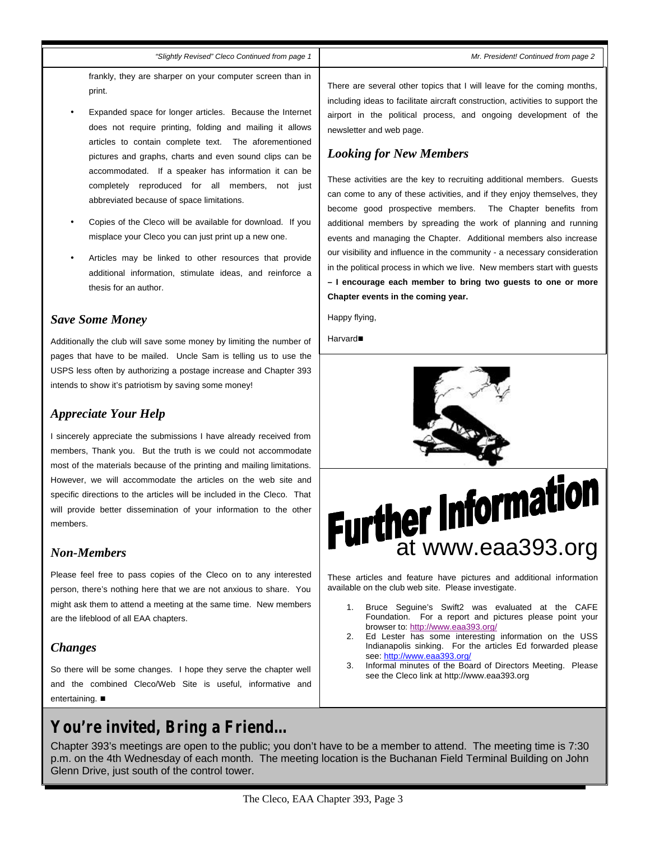### *"Slightly Revised" Cleco Continued from page 1*

frankly, they are sharper on your computer screen than in print.

- Expanded space for longer articles. Because the Internet does not require printing, folding and mailing it allows articles to contain complete text. The aforementioned pictures and graphs, charts and even sound clips can be accommodated. If a speaker has information it can be completely reproduced for all members, not just abbreviated because of space limitations.
- Copies of the Cleco will be available for download. If you misplace your Cleco you can just print up a new one.
- Articles may be linked to other resources that provide additional information, stimulate ideas, and reinforce a thesis for an author.

## *Save Some Money*

Additionally the club will save some money by limiting the number of pages that have to be mailed. Uncle Sam is telling us to use the USPS less often by authorizing a postage increase and Chapter 393 intends to show it's patriotism by saving some money!

## *Appreciate Your Help*

I sincerely appreciate the submissions I have already received from members, Thank you. But the truth is we could not accommodate most of the materials because of the printing and mailing limitations. However, we will accommodate the articles on the web site and specific directions to the articles will be included in the Cleco. That will provide better dissemination of your information to the other members.

## *Non-Members*

Please feel free to pass copies of the Cleco on to any interested person, there's nothing here that we are not anxious to share. You might ask them to attend a meeting at the same time. New members are the lifeblood of all EAA chapters.

# *Changes*

So there will be some changes. I hope they serve the chapter well and the combined Cleco/Web Site is useful, informative and entertaining.  $\blacksquare$ 

# *You're invited, Bring a Friend…*

There are several other topics that I will leave for the coming months, including ideas to facilitate aircraft construction, activities to support the airport in the political process, and ongoing development of the newsletter and web page.

## *Looking for New Members*

These activities are the key to recruiting additional members. Guests can come to any of these activities, and if they enjoy themselves, they become good prospective members. The Chapter benefits from additional members by spreading the work of planning and running events and managing the Chapter. Additional members also increase our visibility and influence in the community - a necessary consideration in the political process in which we live. New members start with guests **– I encourage each member to bring two guests to one or more Chapter events in the coming year.** 

Happy flying,

Harvard<sup>n</sup>



These articles and feature have pictures and additional information available on the club web site. Please investigate.

- 1. Bruce Seguine's Swift2 was evaluated at the CAFE Foundation. For a report and pictures please point your browser to: http://www.eaa393.org/
- 2. Ed Lester has some interesting information on the USS Indianapolis sinking. For the articles Ed forwarded please see: http://www.eaa393.org/
- 3. Informal minutes of the Board of Directors Meeting. Please see the Cleco link at http://www.eaa393.org

Chapter 393's meetings are open to the public; you don't have to be a member to attend. The meeting time is 7:30 p.m. on the 4th Wednesday of each month. The meeting location is the Buchanan Field Terminal Building on John Glenn Drive, just south of the control tower.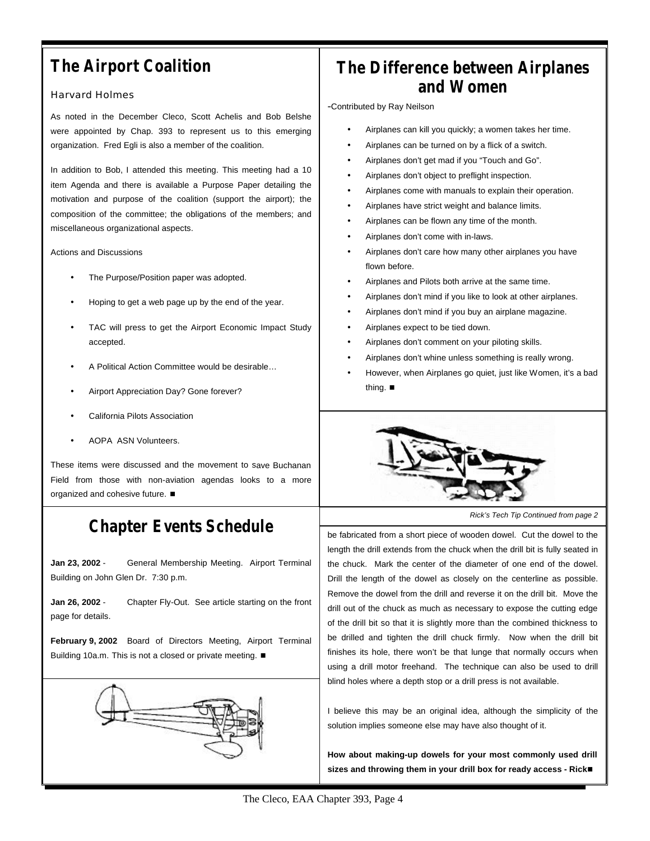# *The Airport Coalition*

## Harvard Holmes

As noted in the December Cleco, Scott Achelis and Bob Belshe were appointed by Chap. 393 to represent us to this emerging organization. Fred Egli is also a member of the coalition.

In addition to Bob, I attended this meeting. This meeting had a 10 item Agenda and there is available a Purpose Paper detailing the motivation and purpose of the coalition (support the airport); the composition of the committee; the obligations of the members; and miscellaneous organizational aspects.

Actions and Discussions

- The Purpose/Position paper was adopted.
- Hoping to get a web page up by the end of the year.
- TAC will press to get the Airport Economic Impact Study accepted.
- A Political Action Committee would be desirable…
- Airport Appreciation Day? Gone forever?
- California Pilots Association
- AOPA ASN Volunteers.

These items were discussed and the movement to save Buchanan Field from those with non-aviation agendas looks to a more organized and cohesive future.  $\blacksquare$ 

# *Chapter Events Schedule*

**Jan 23, 2002** - General Membership Meeting. Airport Terminal Building on John Glen Dr. 7:30 p.m.

**Jan 26, 2002** - Chapter Fly-Out. See article starting on the front page for details.

**February 9, 2002** Board of Directors Meeting, Airport Terminal Building 10a.m. This is not a closed or private meeting.  $\blacksquare$ 



# *The Difference between Airplanes and Women*

-Contributed by Ray Neilson

- Airplanes can kill you quickly; a women takes her time.
- Airplanes can be turned on by a flick of a switch.
- Airplanes don't get mad if you "Touch and Go".
- Airplanes don't object to preflight inspection.
- Airplanes come with manuals to explain their operation.
- Airplanes have strict weight and balance limits.
- Airplanes can be flown any time of the month.
- Airplanes don't come with in-laws.
- Airplanes don't care how many other airplanes you have flown before.
- Airplanes and Pilots both arrive at the same time.
- Airplanes don't mind if you like to look at other airplanes.
- Airplanes don't mind if you buy an airplane magazine.
- Airplanes expect to be tied down.
- Airplanes don't comment on your piloting skills.
- Airplanes don't whine unless something is really wrong.
- However, when Airplanes go quiet, just like Women, it's a bad thing.  $\blacksquare$



*Rick's Tech Tip Continued from page 2*

be fabricated from a short piece of wooden dowel. Cut the dowel to the length the drill extends from the chuck when the drill bit is fully seated in the chuck. Mark the center of the diameter of one end of the dowel. Drill the length of the dowel as closely on the centerline as possible. Remove the dowel from the drill and reverse it on the drill bit. Move the drill out of the chuck as much as necessary to expose the cutting edge of the drill bit so that it is slightly more than the combined thickness to be drilled and tighten the drill chuck firmly. Now when the drill bit finishes its hole, there won't be that lunge that normally occurs when using a drill motor freehand. The technique can also be used to drill blind holes where a depth stop or a drill press is not available.

I believe this may be an original idea, although the simplicity of the solution implies someone else may have also thought of it.

**How about making-up dowels for your most commonly used drill**  sizes and throwing them in your drill box for ready access - Rick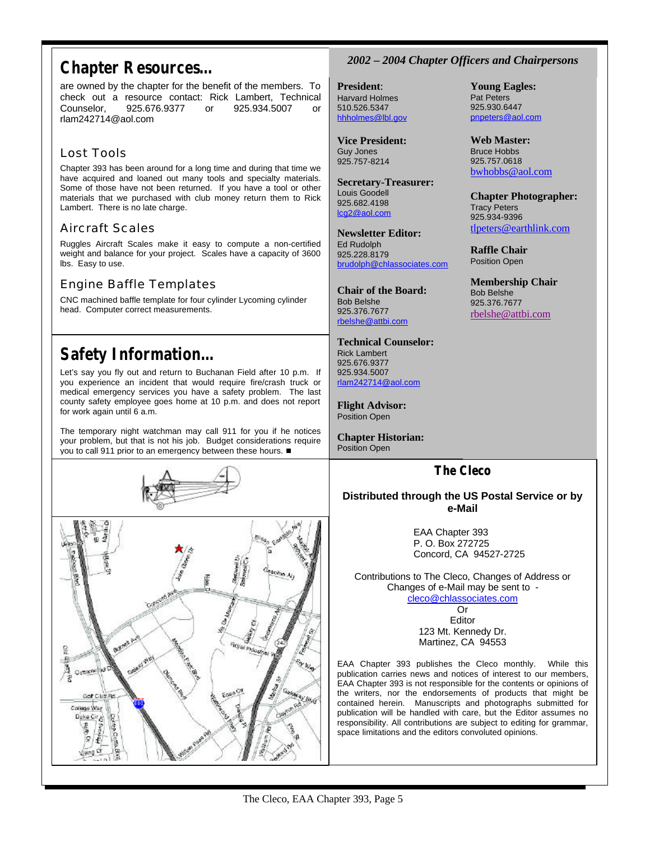# *Chapter Resources…*

are owned by the chapter for the benefit of the members. To check out a resource contact: Rick Lambert, Technical Counselor, 925.676.9377 or 925.934.5007 or rlam242714@aol.com

# Lost Tools

Chapter 393 has been around for a long time and during that time we have acquired and loaned out many tools and specialty materials. Some of those have not been returned. If you have a tool or other materials that we purchased with club money return them to Rick Lambert. There is no late charge.

# Aircraft Scales

Ruggles Aircraft Scales make it easy to compute a non-certified weight and balance for your project. Scales have a capacity of 3600 lbs. Easy to use.

# Engine Baffle Templates

CNC machined baffle template for four cylinder Lycoming cylinder head. Computer correct measurements.

# *Safety Information…*

Let's say you fly out and return to Buchanan Field after 10 p.m. If you experience an incident that would require fire/crash truck or medical emergency services you have a safety problem. The last county safety employee goes home at 10 p.m. and does not report for work again until 6 a.m.

The temporary night watchman may call 911 for you if he notices your problem, but that is not his job. Budget considerations require you to call 911 prior to an emergency between these hours.  $\blacksquare$ 





# *2002 – 2004 Chapter Officers and Chairpersons*

**Young Eagles:** Pat Peters 925.930.6447 pnpeters@aol.com

**Web Master:** Bruce Hobbs 925.757.0618 bwhobbs@aol.com

Tracy Peters 925.934-9396

**Raffle Chair** Position Open

Bob Belshe 925.376.7677 rbelshe@attbi.com

**Chapter Photographer:**

tlpeters@earthlink.com

**Membership Chair**

**President**: Harvard Holmes 510.526.5347 hhholmes@lbl.gov

**Vice President:** Guy Jones 925.757-8214

**Secretary-Treasurer:** Louis Goodell 925.682.4198 lcg2@aol.com

**Newsletter Editor:** Ed Rudolph 925.228.8179 brudolph@chlassociates.com

**Chair of the Board:** Bob Belshe 925.376.7677 rbelshe@attbi.com

**Technical Counselor:** Rick Lambert 925.676.9377 925.934.5007 rlam242714@aol.com

**Flight Advisor:** Position Open

**Chapter Historian:** Position Open

# **The Cleco**

## **Distributed through the US Postal Service or by e-Mail**

EAA Chapter 393 P. O. Box 272725 Concord, CA 94527-2725

Contributions to The Cleco, Changes of Address or Changes of e-Mail may be sent to cleco@chlassociates.com

Or Editor 123 Mt. Kennedy Dr. Martinez, CA 94553

EAA Chapter 393 publishes the Cleco monthly. While this publication carries news and notices of interest to our members, EAA Chapter 393 is not responsible for the contents or opinions of the writers, nor the endorsements of products that might be contained herein. Manuscripts and photographs submitted for publication will be handled with care, but the Editor assumes no responsibility. All contributions are subject to editing for grammar, space limitations and the editors convoluted opinions.